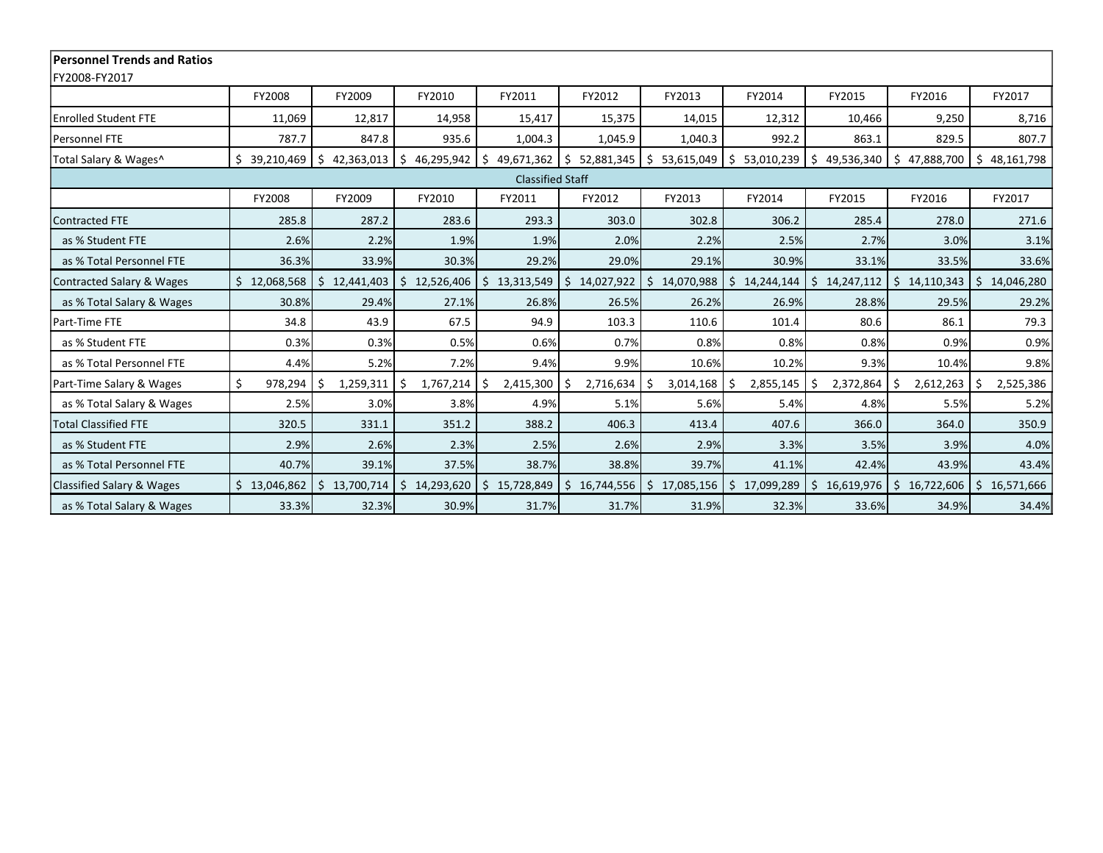| <b>Personnel Trends and Ratios</b>   |                    |                          |                  |                  |                  |                  |                  |                  |                           |                             |
|--------------------------------------|--------------------|--------------------------|------------------|------------------|------------------|------------------|------------------|------------------|---------------------------|-----------------------------|
| FY2008-FY2017                        |                    |                          |                  |                  |                  |                  |                  |                  |                           |                             |
|                                      | <b>FY2008</b>      | FY2009                   | FY2010           | FY2011           | FY2012           | FY2013           | FY2014           | FY2015           | FY2016                    | FY2017                      |
| <b>Enrolled Student FTE</b>          | 11,069             | 12,817                   | 14,958           | 15,417           | 15,375           | 14,015           | 12,312           | 10,466           | 9,250                     | 8,716                       |
| Personnel FTE                        | 787.7              | 847.8                    | 935.6            | 1,004.3          | 1,045.9          | 1,040.3          | 992.2            | 863.1            | 829.5                     | 807.7                       |
| Total Salary & Wages^                | \$39,210,469       | 42,363,013<br>I \$       | 46,295,942<br>S. | Ś.<br>49,671,362 | \$<br>52,881,345 | \$<br>53,615,049 | 53,010,239<br>S. | \$               | 49,536,340   \$47,888,700 | $\frac{1}{2}$<br>48,161,798 |
| <b>Classified Staff</b>              |                    |                          |                  |                  |                  |                  |                  |                  |                           |                             |
|                                      | FY2008             | FY2009                   | FY2010           | FY2011           | FY2012           | FY2013           | FY2014           | FY2015           | FY2016                    | FY2017                      |
| Contracted FTE                       | 285.8              | 287.2                    | 283.6            | 293.3            | 303.0            | 302.8            | 306.2            | 285.4            | 278.0                     | 271.6                       |
| as % Student FTE                     | 2.6%               | 2.2%                     | 1.9%             | 1.9%             | 2.0%             | 2.2%             | 2.5%             | 2.7%             | 3.0%                      | 3.1%                        |
| as % Total Personnel FTE             | 36.3%              | 33.9%                    | 30.3%            | 29.2%            | 29.0%            | 29.1%            | 30.9%            | 33.1%            | 33.5%                     | 33.6%                       |
| Contracted Salary & Wages            | 12,068,568         | 12,441,403<br>$\cdot$ \$ | Ś.<br>12,526,406 | Ś.<br>13,313,549 | 14,027,922<br>S. | 14,070,988<br>Ś. | 14,244,144<br>Ś. | \$14,247,112     | \$14,110,343              | \$14,046,280                |
| as % Total Salary & Wages            | 30.8%              | 29.4%                    | 27.1%            | 26.8%            | 26.5%            | 26.2%            | 26.9%            | 28.8%            | 29.5%                     | 29.2%                       |
| Part-Time FTE                        | 34.8               | 43.9                     | 67.5             | 94.9             | 103.3            | 110.6            | 101.4            | 80.6             | 86.1                      | 79.3                        |
| as % Student FTE                     | 0.3%               | 0.3%                     | 0.5%             | 0.6%             | 0.7%             | 0.8%             | 0.8%             | 0.8%             | 0.9%                      | 0.9%                        |
| as % Total Personnel FTE             | 4.4%               | 5.2%                     | 7.2%             | 9.4%             | 9.9%             | 10.6%            | 10.2%            | 9.3%             | 10.4%                     | 9.8%                        |
| Part-Time Salary & Wages             | $\zeta$<br>978,294 | 1,259,311<br>-Ś          | 1,767,214<br>Ŝ.  | 2,415,300        | 2,716,634<br>-S  | 3,014,168        | 2,855,145        | 2,372,864<br>S   | 2,612,263<br>Ŝ.           | 2,525,386<br>-Ś             |
| as % Total Salary & Wages            | 2.5%               | 3.0%                     | 3.8%             | 4.9%             | 5.1%             | 5.6%             | 5.4%             | 4.8%             | 5.5%                      | 5.2%                        |
| <b>Total Classified FTE</b>          | 320.5              | 331.1                    | 351.2            | 388.2            | 406.3            | 413.4            | 407.6            | 366.0            | 364.0                     | 350.9                       |
| as % Student FTE                     | 2.9%               | 2.6%                     | 2.3%             | 2.5%             | 2.6%             | 2.9%             | 3.3%             | 3.5%             | 3.9%                      | 4.0%                        |
| as % Total Personnel FTE             | 40.7%              | 39.1%                    | 37.5%            | 38.7%            | 38.8%            | 39.7%            | 41.1%            | 42.4%            | 43.9%                     | 43.4%                       |
| <b>Classified Salary &amp; Wages</b> | \$13,046,862       | 13,700,714<br>Ś.         | 14,293,620<br>Ś. | 15,728,849<br>Ŝ. | 16,744,556<br>Ŝ. | Ś.<br>17,085,156 | 17,099,289<br>Ś. | 16,619,976<br>Ś. | 16,722,606<br>$\zeta$     | \$16,571,666                |
| as % Total Salary & Wages            | 33.3%              | 32.3%                    | 30.9%            | 31.7%            | 31.7%            | 31.9%            | 32.3%            | 33.6%            | 34.9%                     | 34.4%                       |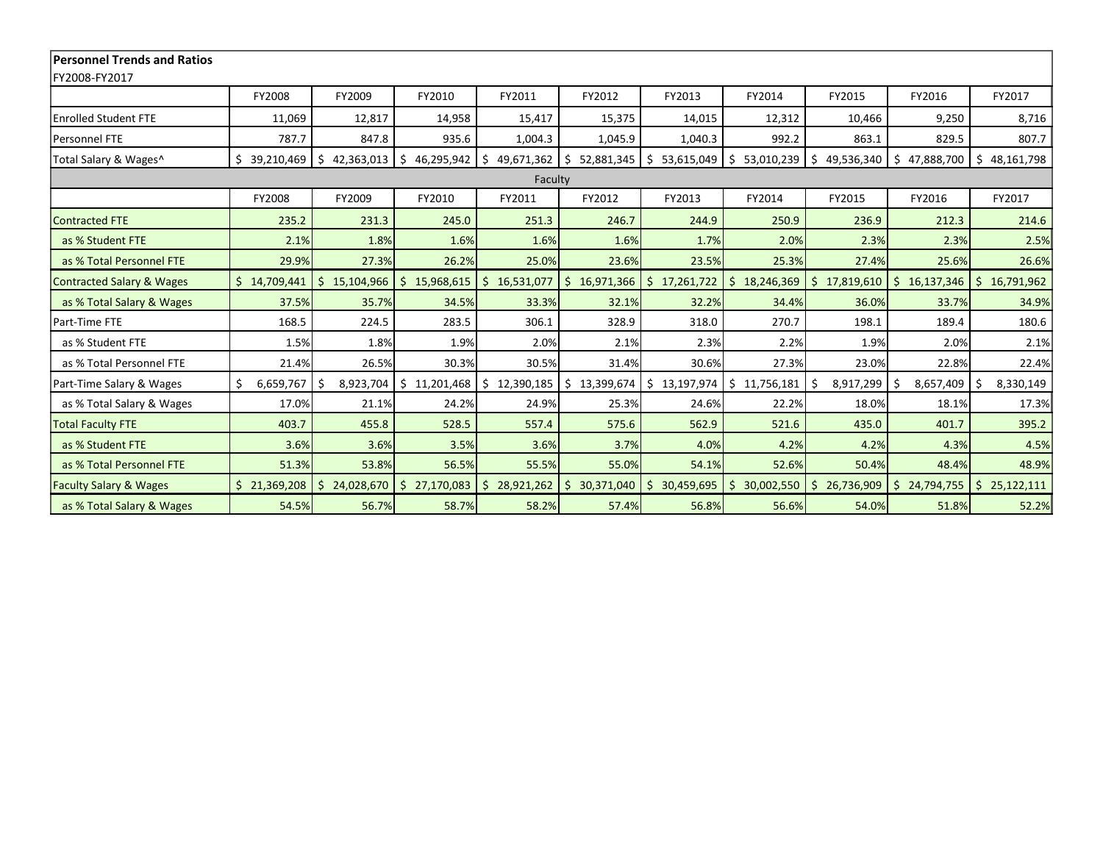| <b>Personnel Trends and Ratios</b>   |                      |                  |                  |                  |                            |                       |                  |                  |                  |                       |
|--------------------------------------|----------------------|------------------|------------------|------------------|----------------------------|-----------------------|------------------|------------------|------------------|-----------------------|
| FY2008-FY2017                        |                      |                  |                  |                  |                            |                       |                  |                  |                  |                       |
|                                      | FY2008               | FY2009           | FY2010           | FY2011           | FY2012                     | FY2013                | FY2014           | FY2015           | FY2016           | FY2017                |
| <b>Enrolled Student FTE</b>          | 11,069               | 12,817           | 14,958           | 15,417           | 15,375                     | 14,015                | 12,312           | 10,466           | 9,250            | 8,716                 |
| Personnel FTE                        | 787.7                | 847.8            | 935.6            | 1,004.3          | 1,045.9                    | 1,040.3               | 992.2            | 863.1            | 829.5            | 807.7                 |
| Total Salary & Wages^                | Ŝ.<br>39,210,469     | Ŝ.<br>42,363,013 | 46,295,942<br>\$ | \$<br>49,671,362 | \$<br>52,881,345           | \$<br>53,615,049      | Ŝ.<br>53,010,239 | 49,536,340<br>Ŝ. | \$<br>47,888,700 | $\zeta$<br>48,161,798 |
| Faculty                              |                      |                  |                  |                  |                            |                       |                  |                  |                  |                       |
|                                      | FY2008               | FY2009           | FY2010           | FY2011           | FY2012                     | FY2013                | FY2014           | FY2015           | FY2016           | FY2017                |
| <b>Contracted FTE</b>                | 235.2                | 231.3            | 245.0            | 251.3            | 246.7                      | 244.9                 | 250.9            | 236.9            | 212.3            | 214.6                 |
| as % Student FTE                     | 2.1%                 | 1.8%             | 1.6%             | 1.6%             | 1.6%                       | 1.7%                  | 2.0%             | 2.3%             | 2.3%             | 2.5%                  |
| as % Total Personnel FTE             | 29.9%                | 27.3%            | 26.2%            | 25.0%            | 23.6%                      | 23.5%                 | 25.3%            | 27.4%            | 25.6%            | 26.6%                 |
| <b>Contracted Salary &amp; Wages</b> | \$14,709,441         | \$15,104,966     | Ś.<br>15,968,615 | Ś.<br>16,531,077 | $\zeta$<br>16,971,366      | $\zeta$<br>17,261,722 | \$18,246,369     | 17,819,610<br>Ś. | \$16,137,346     | \$16,791,962          |
| as % Total Salary & Wages            | 37.5%                | 35.7%            | 34.5%            | 33.3%            | 32.1%                      | 32.2%                 | 34.4%            | 36.0%            | 33.7%            | 34.9%                 |
| Part-Time FTE                        | 168.5                | 224.5            | 283.5            | 306.1            | 328.9                      | 318.0                 | 270.7            | 198.1            | 189.4            | 180.6                 |
| as % Student FTE                     | 1.5%                 | 1.8%             | 1.9%             | 2.0%             | 2.1%                       | 2.3%                  | 2.2%             | 1.9%             | 2.0%             | 2.1%                  |
| as % Total Personnel FTE             | 21.4%                | 26.5%            | 30.3%            | 30.5%            | 31.4%                      | 30.6%                 | 27.3%            | 23.0%            | 22.8%            | 22.4%                 |
| Part-Time Salary & Wages             | $\zeta$<br>6,659,767 | 8,923,704<br>Ŝ.  | Ś.<br>11,201,468 | Ś.<br>12,390,185 | \$<br>13,399,674           | \$13,197,974          | \$11,756,181     | 8,917,299<br>S   | 8,657,409<br>Ś.  | \$<br>8,330,149       |
| as % Total Salary & Wages            | 17.0%                | 21.1%            | 24.2%            | 24.9%            | 25.3%                      | 24.6%                 | 22.2%            | 18.0%            | 18.1%            | 17.3%                 |
| <b>Total Faculty FTE</b>             | 403.7                | 455.8            | 528.5            | 557.4            | 575.6                      | 562.9                 | 521.6            | 435.0            | 401.7            | 395.2                 |
| as % Student FTE                     | 3.6%                 | 3.6%             | 3.5%             | 3.6%             | 3.7%                       | 4.0%                  | 4.2%             | 4.2%             | 4.3%             | 4.5%                  |
| as % Total Personnel FTE             | 51.3%                | 53.8%            | 56.5%            | 55.5%            | 55.0%                      | 54.1%                 | 52.6%            | 50.4%            | 48.4%            | 48.9%                 |
| <b>Faculty Salary &amp; Wages</b>    | \$21,369,208         | Ŝ.<br>24,028,670 | Ś.<br>27,170,083 | 28,921,262<br>Ś. | 30,371,040<br>$\mathsf{S}$ | $\zeta$<br>30,459,695 | 30,002,550<br>Š. | 26,736,909       | 24,794,755<br>Ŝ. | \$25,122,111          |
| as % Total Salary & Wages            | 54.5%                | 56.7%            | 58.7%            | 58.2%            | 57.4%                      | 56.8%                 | 56.6%            | 54.0%            | 51.8%            | 52.2%                 |